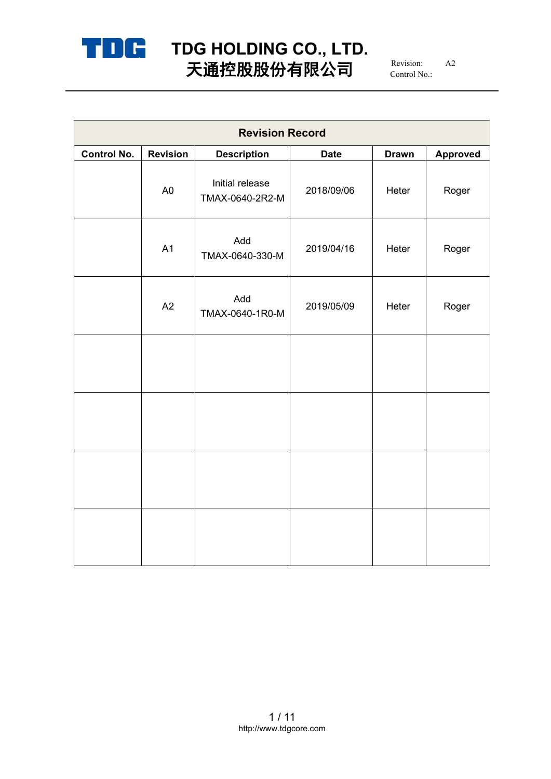

# **TDG HOLDING CO., LTD.** 天通控股股份有限公司  $^{\scriptscriptstyle\rm {Revision:}}$   $^{\scriptscriptstyle\rm {A2}}$

Revision: A2 Control No.:

| <b>Revision Record</b> |                 |                                    |             |              |                 |  |
|------------------------|-----------------|------------------------------------|-------------|--------------|-----------------|--|
| <b>Control No.</b>     | <b>Revision</b> | <b>Description</b>                 | <b>Date</b> | <b>Drawn</b> | <b>Approved</b> |  |
|                        | A <sub>0</sub>  | Initial release<br>TMAX-0640-2R2-M | 2018/09/06  | Heter        | Roger           |  |
|                        | A1              | Add<br>TMAX-0640-330-M             | 2019/04/16  | Heter        | Roger           |  |
|                        | A2              | Add<br>TMAX-0640-1R0-M             | 2019/05/09  | Heter        | Roger           |  |
|                        |                 |                                    |             |              |                 |  |
|                        |                 |                                    |             |              |                 |  |
|                        |                 |                                    |             |              |                 |  |
|                        |                 |                                    |             |              |                 |  |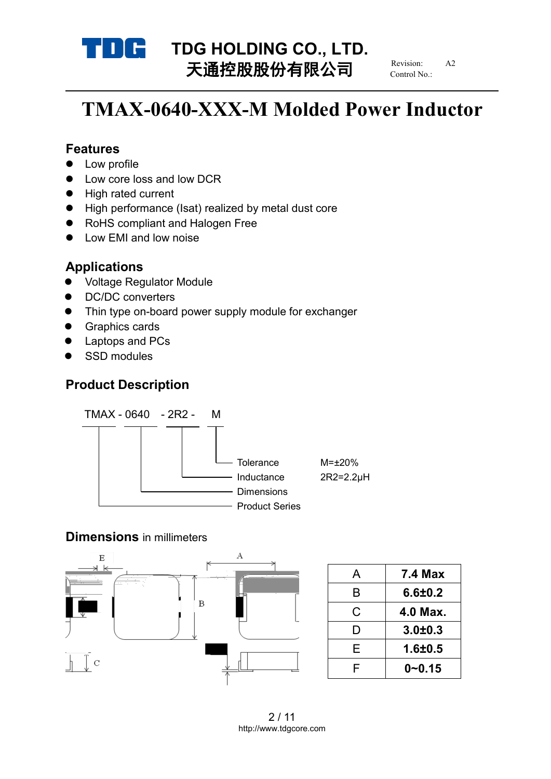

# **TDG HOLDING CO., LTD.**<br>
TX<del>HO</del>LDING **CO., LTD.** 天通控股股份有限公司

Revision: Control No.:

# **TMAX-0640-XXX-M Molded Power Inductor**

## **Features**

- Low profile
- Low core loss and low DCR
- High rated current
- High performance (Isat) realized by metal dust core
- RoHS compliant and Halogen Free
- Low EMI and low noise

## **Applications**

- Voltage Regulator Module
- DC/DC converters
- Thin type on-board power supply module for exchanger
- **•** Graphics cards
- Laptops and PCs
- SSD modules

## **Product Description**



## **Dimensions** in millimeters



|   | <b>7.4 Max</b> |
|---|----------------|
| B | 6.6 ± 0.2      |
| C | 4.0 Max.       |
|   | $3.0 + 0.3$    |
| F | $1.6 + 0.5$    |
|   | $0 - 0.15$     |
|   |                |

2 / 11 http://www.tdgcore.com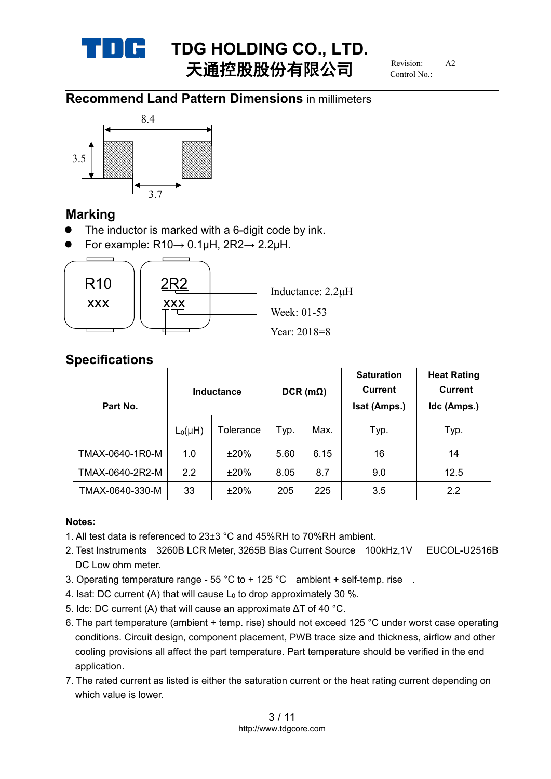

# **TDG HOLDING CO., LTD.**<br> **TALLER IN (A FIR A)** Revision A2 天通控股股份有限公司

Revision: Control No.:

## **Recommend Land Pattern Dimensions** in millimeters



## **Marking**

- The inductor is marked with a 6-digit code by ink.
- $\bullet$  For example: R10→ 0.1µH, 2R2→ 2.2µH.



## **Specifications**

| Part No.        | <b>Inductance</b> |           | $DCR$ (m $\Omega$ ) |      | <b>Saturation</b><br><b>Current</b><br>Isat (Amps.) | <b>Heat Rating</b><br><b>Current</b><br>Idc (Amps.) |
|-----------------|-------------------|-----------|---------------------|------|-----------------------------------------------------|-----------------------------------------------------|
|                 | $L_0(\mu H)$      | Tolerance | Typ.                | Max. | Typ.                                                | Typ.                                                |
| TMAX-0640-1R0-M | 1.0               | ±20%      | 5.60                | 6.15 | 16                                                  | 14                                                  |
| TMAX-0640-2R2-M | $2.2^{\circ}$     | ±20%      | 8.05                | 8.7  | 9.0                                                 | 12.5                                                |
| TMAX-0640-330-M | 33                | ±20%      | 205                 | 225  | 3.5                                                 | 2.2                                                 |

#### **Notes:**

- 1. All test data is referenced to 23±3 °C and 45%RH to 70%RH ambient.
- 2. Test Instruments 3260B LCR Meter, 3265B Bias Current Source 100kHz,1V EUCOL-U2516B DC Low ohm meter.
- 3. Operating temperature range  $55 \degree C$  to + 125  $\degree C$  ambient + self-temp. rise.
- 4. Isat: DC current (A) that will cause  $L_0$  to drop approximately 30 %.
- 5. Idc: DC current (A) that will cause an approximate ΔT of 40 °C.
- 6. The part temperature (ambient + temp. rise) should not exceed 125 °C underworst case operating conditions. Circuit design, component placement, PWB trace size and thickness, airflow and other cooling provisions all affect the part temperature. Part temperature should be verified in the end application.
- 7. The rated current as listed is either the saturation current or the heat rating current depending on which value is lower.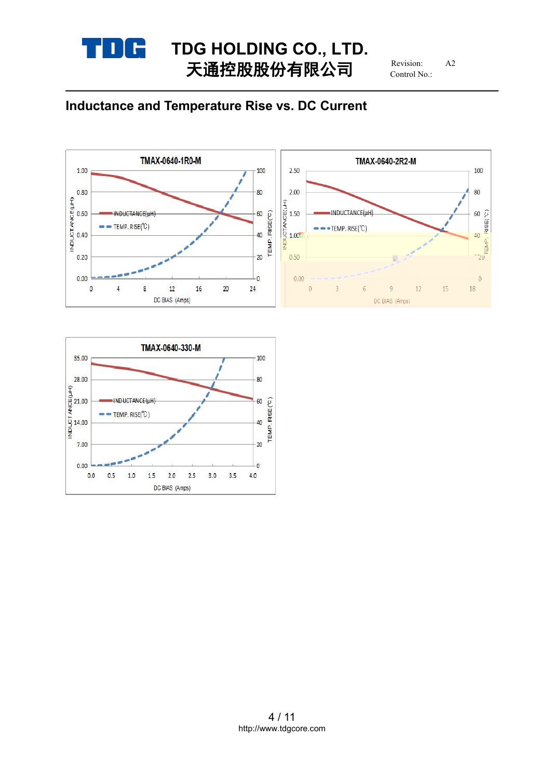

# **TDG HOLDING CO., LTD.**<br> **T THEREALL** 天通控股股份有限公司

Revision: Control No.:

# **Inductance and Temperature Rise vs. DC Current**



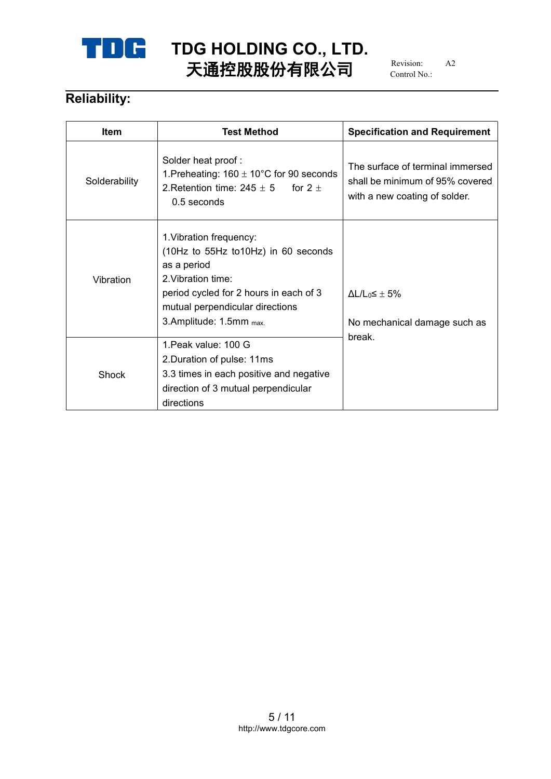

# **TDG HOLDING CO., LTD.**<br>
FXFRAMATELY 天通控股股份有限公司

Revision: Control No.:

# **Reliability:**

| <b>Item</b>   | <b>Test Method</b>                                                                                                                                                                                          | <b>Specification and Requirement</b>                                                                 |
|---------------|-------------------------------------------------------------------------------------------------------------------------------------------------------------------------------------------------------------|------------------------------------------------------------------------------------------------------|
| Solderability | Solder heat proof:<br>1. Preheating: $160 \pm 10^{\circ}$ C for 90 seconds<br>2. Retention time: $245 \pm 5$ for $2 \pm 1$<br>$0.5$ seconds                                                                 | The surface of terminal immersed<br>shall be minimum of 95% covered<br>with a new coating of solder. |
| Vibration     | 1. Vibration frequency:<br>(10Hz to 55Hz to10Hz) in 60 seconds<br>as a period<br>2. Vibration time:<br>period cycled for 2 hours in each of 3<br>mutual perpendicular directions<br>3.Amplitude: 1.5mm max. | $\Delta L/L_0 \leq \pm 5\%$<br>No mechanical damage such as                                          |
| Shock         | 1. Peak value: 100 G<br>2. Duration of pulse: 11ms<br>3.3 times in each positive and negative<br>direction of 3 mutual perpendicular<br>directions                                                          | break.                                                                                               |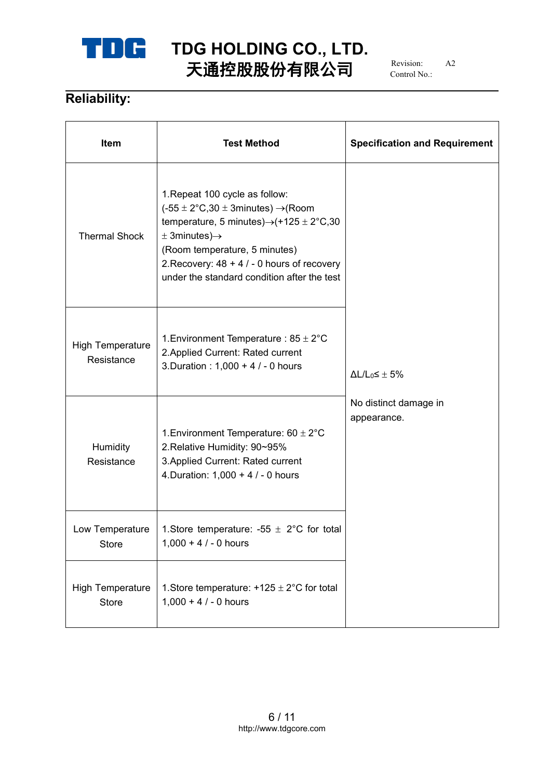

# **TDG HOLDING CO., LTD.**<br>
FX **EXPLANA** 天通控股股份有限公司

Revision: Control No.:

# **Reliability:**

| Item                                  | <b>Test Method</b>                                                                                                                                                                                                                                                                                                      | <b>Specification and Requirement</b> |  |
|---------------------------------------|-------------------------------------------------------------------------------------------------------------------------------------------------------------------------------------------------------------------------------------------------------------------------------------------------------------------------|--------------------------------------|--|
| <b>Thermal Shock</b>                  | 1. Repeat 100 cycle as follow:<br>$(-55 \pm 2^{\circ}C,30 \pm 3$ minutes) $\rightarrow$ (Room<br>temperature, 5 minutes) $\rightarrow$ (+125 ± 2°C,30<br>$\pm$ 3minutes) $\rightarrow$<br>(Room temperature, 5 minutes)<br>2. Recovery: $48 + 4 / - 0$ hours of recovery<br>under the standard condition after the test |                                      |  |
| <b>High Temperature</b><br>Resistance | 1. Environment Temperature : $85 \pm 2^{\circ}$ C<br>2. Applied Current: Rated current<br>3. Duration : 1,000 + 4 / - 0 hours                                                                                                                                                                                           | $\Delta L/L_0 \leq \pm 5\%$          |  |
| Humidity<br>Resistance                | 1. Environment Temperature: $60 \pm 2^{\circ}$ C<br>2. Relative Humidity: 90~95%<br>3. Applied Current: Rated current<br>4. Duration: $1,000 + 4 / - 0$ hours                                                                                                                                                           | No distinct damage in<br>appearance. |  |
| Low Temperature<br><b>Store</b>       | 1. Store temperature: -55 $\pm$ 2°C for total<br>$1,000 + 4 / - 0$ hours                                                                                                                                                                                                                                                |                                      |  |
| <b>High Temperature</b><br>Store      | 1. Store temperature: $+125 \pm 2^{\circ}$ C for total<br>$1,000 + 4 / - 0$ hours                                                                                                                                                                                                                                       |                                      |  |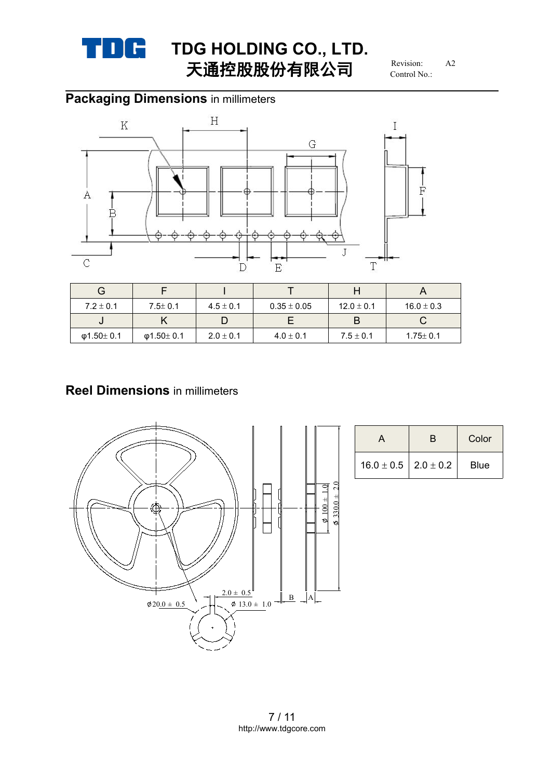

# **TDG HOLDING** CO., LTD.<br>
FXPRELIATE AT 天通控股股份有限公司

Revision: Control No.:

# **Packaging Dimensions** in millimeters



| G             |               |               |               |                |                |
|---------------|---------------|---------------|---------------|----------------|----------------|
| $7.2 \pm 0.1$ | $7.5 \pm 0.1$ | $4.5 \pm 0.1$ | $0.35\pm0.05$ | $12.0 \pm 0.1$ | $16.0 \pm 0.3$ |
| J             |               |               |               |                |                |
| Φ1.50 $±$ 0.1 | Φ1.50 $±$ 0.1 | $2.0 \pm 0.1$ | $4.0 \pm 0.1$ | $7.5 \pm 0.1$  | $1.75 \pm 0.1$ |

# **Reel Dimensions** in millimeters



|                                | Color       |
|--------------------------------|-------------|
| $16.0 \pm 0.5$   2.0 $\pm$ 0.2 | <b>Blue</b> |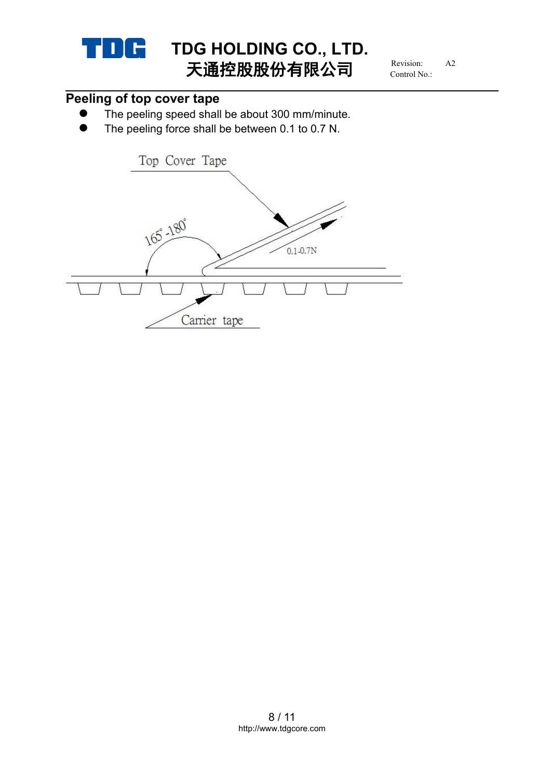

Revision: Control No.:

# **Peeling of top cover tape**

- The peeling speed shall be about 300 mm/minute.
- The peeling force shall be between 0.1 to 0.7 N.

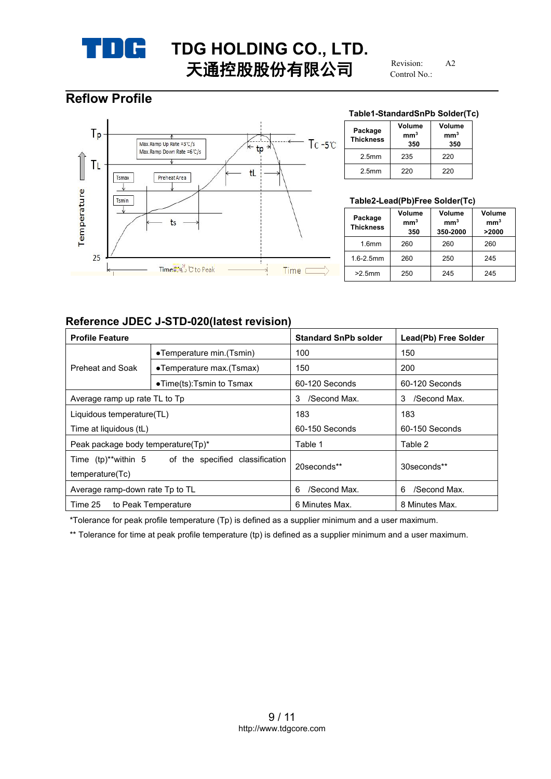

Revision: Control No.:

# **Reflow Profile**



#### **Table1-StandardSnPb Solder(Tc)**

| Package<br><b>Thickness</b> | Volume<br>mm <sup>3</sup><br>350 | Volume<br>mm <sup>3</sup><br>350 |
|-----------------------------|----------------------------------|----------------------------------|
| 2.5 <sub>mm</sub>           | 235                              | 220                              |
| 2.5 <sub>mm</sub>           | 220                              | 220                              |

#### **Table2-Lead(Pb)Free Solder(Tc)**

| Package<br><b>Thickness</b> | Volume<br>mm <sup>3</sup><br>350 | Volume<br>mm <sup>3</sup><br>350-2000 | Volume<br>mm <sup>3</sup><br>>2000 |
|-----------------------------|----------------------------------|---------------------------------------|------------------------------------|
| 1.6 <sub>mm</sub>           | 260                              | 260                                   | 260                                |
| $1.6 - 2.5$ mm              | 260                              | 250                                   | 245                                |
| $>2.5$ mm                   | 250                              | 245                                   | 245                                |

#### **Reference JDEC J-STD-020(latest revision)**

| <b>Profile Feature</b>                                                 |                                   | <b>Standard SnPb solder</b> | Lead(Pb) Free Solder |
|------------------------------------------------------------------------|-----------------------------------|-----------------------------|----------------------|
| •Temperature min. (Tsmin)                                              |                                   | 100                         | 150                  |
| Preheat and Soak                                                       | •Temperature max.(Tsmax)          | 150                         | 200                  |
|                                                                        | $\bullet$ Time(ts):Tsmin to Tsmax | 60-120 Seconds              | 60-120 Seconds       |
| Average ramp up rate TL to Tp                                          |                                   | /Second Max.<br>3           | /Second Max.<br>3    |
| Liquidous temperature(TL)                                              |                                   | 183                         | 183                  |
| Time at liquidous (tL)                                                 |                                   | 60-150 Seconds              | 60-150 Seconds       |
| Peak package body temperature(Tp)*                                     |                                   | Table 1                     | Table 2              |
| Time (tp)**within 5 of the specified classification<br>temperature(Tc) |                                   | 20 seconds**                | 30seconds**          |
| Average ramp-down rate Tp to TL                                        |                                   | /Second Max.<br>6           | /Second Max.<br>6    |
| Time 25                                                                | to Peak Temperature               | 6 Minutes Max.              | 8 Minutes Max.       |

\*Tolerance for peak profile temperature (Tp) is defined as a supplier minimum and a user maximum.

\*\* Tolerance for time at peak profile temperature (tp) is defined as a supplier minimum and a user maximum.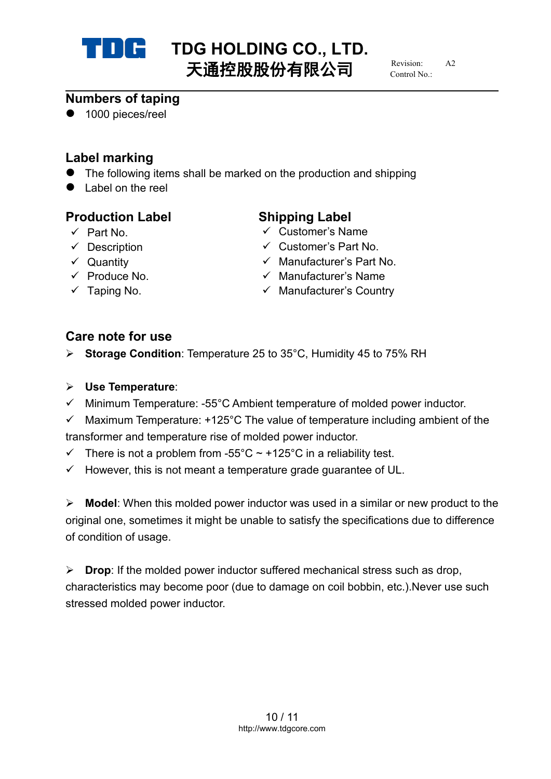

# **TDG HOLDING CO., LTD.**<br>
TX<del>LDING</del>

TXLDING 天通控股股份有限公司

 $R$ evision: Control No.:

## **Numbers of taping**

● 1000 pieces/reel

# **Label marking**

- The following items shall be marked on the production and shipping
- Label on the reel

# **Production Label Shipping Label**

- 
- 
- 
- 
- 

- Part No. Customer's Name
- $\checkmark$  Description  $\checkmark$  Customer's Part No.
- Quantity Manufacturer's Part No.
- $\checkmark$  Produce No.  $\checkmark$  Manufacturer's Name
- $\checkmark$  Taping No.  $\checkmark$  Manufacturer's Country

# **Care note for use**

- **► Storage Condition: Temperature 25 to 35°C, Humidity 45 to 75% RH**
- **Use Temperature**:
- $\checkmark$  Minimum Temperature: -55°C Ambient temperature of molded power inductor.
- $\checkmark$  Maximum Temperature: +125°C The value of temperature including ambient of the transformer and temperature rise of molded power inductor.
- $\checkmark$  There is not a problem from -55°C ~ +125°C in a reliability test.
- $\checkmark$  However, this is not meant a temperature grade guarantee of UL.

**Model:** When this molded power inductor was used in a similar or new product to the original one, sometimes it might be unable to satisfy the specifications due to difference of condition of usage.

**Drop:** If the molded power inductor suffered mechanical stress such as drop, characteristics may become poor (due to damage on coil bobbin, etc.).Never use such stressed molded power inductor.